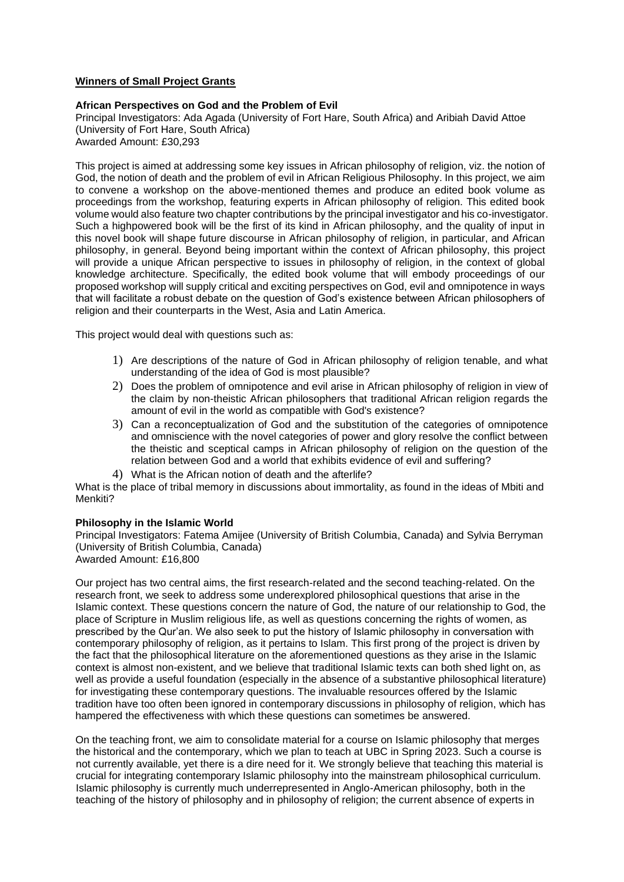## **Winners of Small Project Grants**

## **African Perspectives on God and the Problem of Evil**

Principal Investigators: Ada Agada (University of Fort Hare, South Africa) and Aribiah David Attoe (University of Fort Hare, South Africa) Awarded Amount: £30,293

This project is aimed at addressing some key issues in African philosophy of religion, viz. the notion of God, the notion of death and the problem of evil in African Religious Philosophy. In this project, we aim to convene a workshop on the above-mentioned themes and produce an edited book volume as proceedings from the workshop, featuring experts in African philosophy of religion. This edited book volume would also feature two chapter contributions by the principal investigator and his co-investigator. Such a highpowered book will be the first of its kind in African philosophy, and the quality of input in this novel book will shape future discourse in African philosophy of religion, in particular, and African philosophy, in general. Beyond being important within the context of African philosophy, this project will provide a unique African perspective to issues in philosophy of religion, in the context of global knowledge architecture. Specifically, the edited book volume that will embody proceedings of our proposed workshop will supply critical and exciting perspectives on God, evil and omnipotence in ways that will facilitate a robust debate on the question of God's existence between African philosophers of religion and their counterparts in the West, Asia and Latin America.

This project would deal with questions such as:

- 1) Are descriptions of the nature of God in African philosophy of religion tenable, and what understanding of the idea of God is most plausible?
- 2) Does the problem of omnipotence and evil arise in African philosophy of religion in view of the claim by non-theistic African philosophers that traditional African religion regards the amount of evil in the world as compatible with God's existence?
- 3) Can a reconceptualization of God and the substitution of the categories of omnipotence and omniscience with the novel categories of power and glory resolve the conflict between the theistic and sceptical camps in African philosophy of religion on the question of the relation between God and a world that exhibits evidence of evil and suffering?
- 4) What is the African notion of death and the afterlife?

What is the place of tribal memory in discussions about immortality, as found in the ideas of Mbiti and Menkiti?

# **Philosophy in the Islamic World**

Principal Investigators: Fatema Amijee (University of British Columbia, Canada) and Sylvia Berryman (University of British Columbia, Canada) Awarded Amount: £16,800

Our project has two central aims, the first research-related and the second teaching-related. On the research front, we seek to address some underexplored philosophical questions that arise in the Islamic context. These questions concern the nature of God, the nature of our relationship to God, the place of Scripture in Muslim religious life, as well as questions concerning the rights of women, as prescribed by the Qur'an. We also seek to put the history of Islamic philosophy in conversation with contemporary philosophy of religion, as it pertains to Islam. This first prong of the project is driven by the fact that the philosophical literature on the aforementioned questions as they arise in the Islamic context is almost non-existent, and we believe that traditional Islamic texts can both shed light on, as well as provide a useful foundation (especially in the absence of a substantive philosophical literature) for investigating these contemporary questions. The invaluable resources offered by the Islamic tradition have too often been ignored in contemporary discussions in philosophy of religion, which has hampered the effectiveness with which these questions can sometimes be answered.

On the teaching front, we aim to consolidate material for a course on Islamic philosophy that merges the historical and the contemporary, which we plan to teach at UBC in Spring 2023. Such a course is not currently available, yet there is a dire need for it. We strongly believe that teaching this material is crucial for integrating contemporary Islamic philosophy into the mainstream philosophical curriculum. Islamic philosophy is currently much underrepresented in Anglo-American philosophy, both in the teaching of the history of philosophy and in philosophy of religion; the current absence of experts in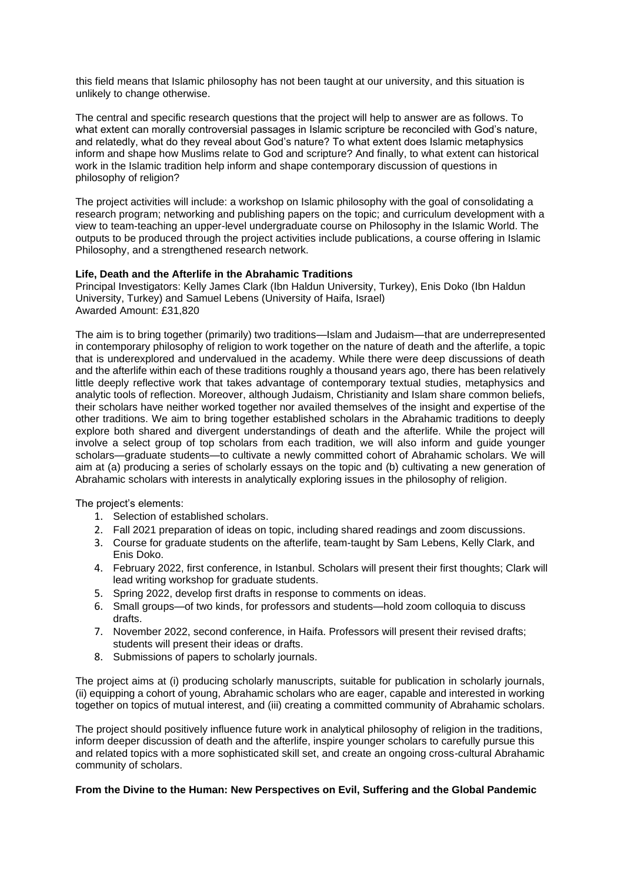this field means that Islamic philosophy has not been taught at our university, and this situation is unlikely to change otherwise.

The central and specific research questions that the project will help to answer are as follows. To what extent can morally controversial passages in Islamic scripture be reconciled with God's nature, and relatedly, what do they reveal about God's nature? To what extent does Islamic metaphysics inform and shape how Muslims relate to God and scripture? And finally, to what extent can historical work in the Islamic tradition help inform and shape contemporary discussion of questions in philosophy of religion?

The project activities will include: a workshop on Islamic philosophy with the goal of consolidating a research program; networking and publishing papers on the topic; and curriculum development with a view to team-teaching an upper-level undergraduate course on Philosophy in the Islamic World. The outputs to be produced through the project activities include publications, a course offering in Islamic Philosophy, and a strengthened research network.

## **Life, Death and the Afterlife in the Abrahamic Traditions**

Principal Investigators: Kelly James Clark (Ibn Haldun University, Turkey), Enis Doko (Ibn Haldun University, Turkey) and Samuel Lebens (University of Haifa, Israel) Awarded Amount: £31,820

The aim is to bring together (primarily) two traditions—Islam and Judaism—that are underrepresented in contemporary philosophy of religion to work together on the nature of death and the afterlife, a topic that is underexplored and undervalued in the academy. While there were deep discussions of death and the afterlife within each of these traditions roughly a thousand years ago, there has been relatively little deeply reflective work that takes advantage of contemporary textual studies, metaphysics and analytic tools of reflection. Moreover, although Judaism, Christianity and Islam share common beliefs, their scholars have neither worked together nor availed themselves of the insight and expertise of the other traditions. We aim to bring together established scholars in the Abrahamic traditions to deeply explore both shared and divergent understandings of death and the afterlife. While the project will involve a select group of top scholars from each tradition, we will also inform and guide younger scholars—graduate students—to cultivate a newly committed cohort of Abrahamic scholars. We will aim at (a) producing a series of scholarly essays on the topic and (b) cultivating a new generation of Abrahamic scholars with interests in analytically exploring issues in the philosophy of religion.

The project's elements:

- 1. Selection of established scholars.
- 2. Fall 2021 preparation of ideas on topic, including shared readings and zoom discussions.
- 3. Course for graduate students on the afterlife, team-taught by Sam Lebens, Kelly Clark, and Enis Doko.
- 4. February 2022, first conference, in Istanbul. Scholars will present their first thoughts; Clark will lead writing workshop for graduate students.
- 5. Spring 2022, develop first drafts in response to comments on ideas.
- 6. Small groups—of two kinds, for professors and students—hold zoom colloquia to discuss drafts.
- 7. November 2022, second conference, in Haifa. Professors will present their revised drafts; students will present their ideas or drafts.
- 8. Submissions of papers to scholarly journals.

The project aims at (i) producing scholarly manuscripts, suitable for publication in scholarly journals, (ii) equipping a cohort of young, Abrahamic scholars who are eager, capable and interested in working together on topics of mutual interest, and (iii) creating a committed community of Abrahamic scholars.

The project should positively influence future work in analytical philosophy of religion in the traditions, inform deeper discussion of death and the afterlife, inspire younger scholars to carefully pursue this and related topics with a more sophisticated skill set, and create an ongoing cross-cultural Abrahamic community of scholars.

## **From the Divine to the Human: New Perspectives on Evil, Suffering and the Global Pandemic**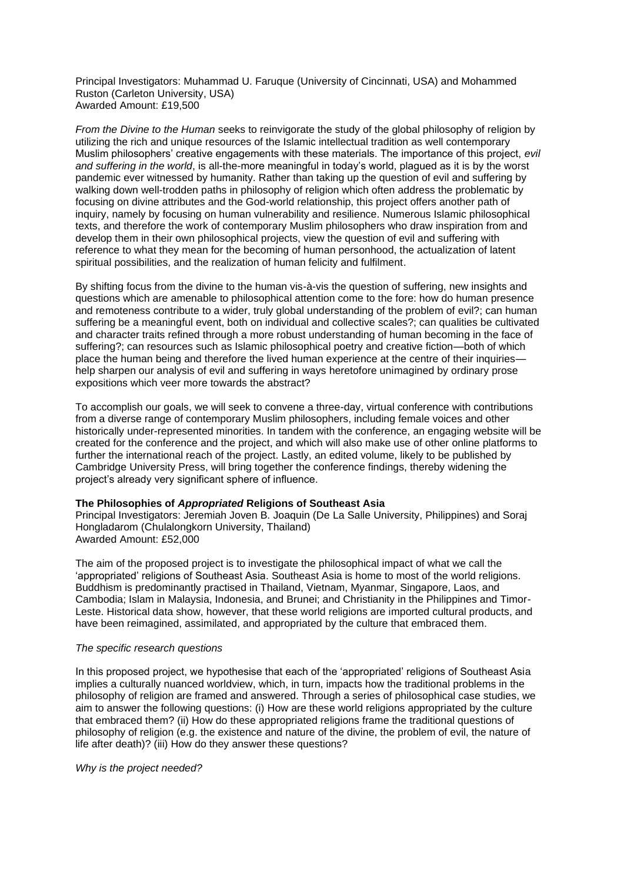Principal Investigators: Muhammad U. Faruque (University of Cincinnati, USA) and Mohammed Ruston (Carleton University, USA) Awarded Amount: £19,500

*From the Divine to the Human* seeks to reinvigorate the study of the global philosophy of religion by utilizing the rich and unique resources of the Islamic intellectual tradition as well contemporary Muslim philosophers' creative engagements with these materials. The importance of this project, *evil and suffering in the world*, is all-the-more meaningful in today's world, plagued as it is by the worst pandemic ever witnessed by humanity. Rather than taking up the question of evil and suffering by walking down well-trodden paths in philosophy of religion which often address the problematic by focusing on divine attributes and the God-world relationship, this project offers another path of inquiry, namely by focusing on human vulnerability and resilience. Numerous Islamic philosophical texts, and therefore the work of contemporary Muslim philosophers who draw inspiration from and develop them in their own philosophical projects, view the question of evil and suffering with reference to what they mean for the becoming of human personhood, the actualization of latent spiritual possibilities, and the realization of human felicity and fulfilment.

By shifting focus from the divine to the human vis-à-vis the question of suffering, new insights and questions which are amenable to philosophical attention come to the fore: how do human presence and remoteness contribute to a wider, truly global understanding of the problem of evil?; can human suffering be a meaningful event, both on individual and collective scales?; can qualities be cultivated and character traits refined through a more robust understanding of human becoming in the face of suffering?; can resources such as Islamic philosophical poetry and creative fiction—both of which place the human being and therefore the lived human experience at the centre of their inquiries help sharpen our analysis of evil and suffering in ways heretofore unimagined by ordinary prose expositions which veer more towards the abstract?

To accomplish our goals, we will seek to convene a three-day, virtual conference with contributions from a diverse range of contemporary Muslim philosophers, including female voices and other historically under-represented minorities. In tandem with the conference, an engaging website will be created for the conference and the project, and which will also make use of other online platforms to further the international reach of the project. Lastly, an edited volume, likely to be published by Cambridge University Press, will bring together the conference findings, thereby widening the project's already very significant sphere of influence.

## **The Philosophies of** *Appropriated* **Religions of Southeast Asia**

Principal Investigators: Jeremiah Joven B. Joaquin (De La Salle University, Philippines) and Soraj Hongladarom (Chulalongkorn University, Thailand) Awarded Amount: £52,000

The aim of the proposed project is to investigate the philosophical impact of what we call the 'appropriated' religions of Southeast Asia. Southeast Asia is home to most of the world religions. Buddhism is predominantly practised in Thailand, Vietnam, Myanmar, Singapore, Laos, and Cambodia; Islam in Malaysia, Indonesia, and Brunei; and Christianity in the Philippines and Timor-Leste. Historical data show, however, that these world religions are imported cultural products, and have been reimagined, assimilated, and appropriated by the culture that embraced them.

#### *The specific research questions*

In this proposed project, we hypothesise that each of the 'appropriated' religions of Southeast Asia implies a culturally nuanced worldview, which, in turn, impacts how the traditional problems in the philosophy of religion are framed and answered. Through a series of philosophical case studies, we aim to answer the following questions: (i) How are these world religions appropriated by the culture that embraced them? (ii) How do these appropriated religions frame the traditional questions of philosophy of religion (e.g. the existence and nature of the divine, the problem of evil, the nature of life after death)? (iii) How do they answer these questions?

*Why is the project needed?*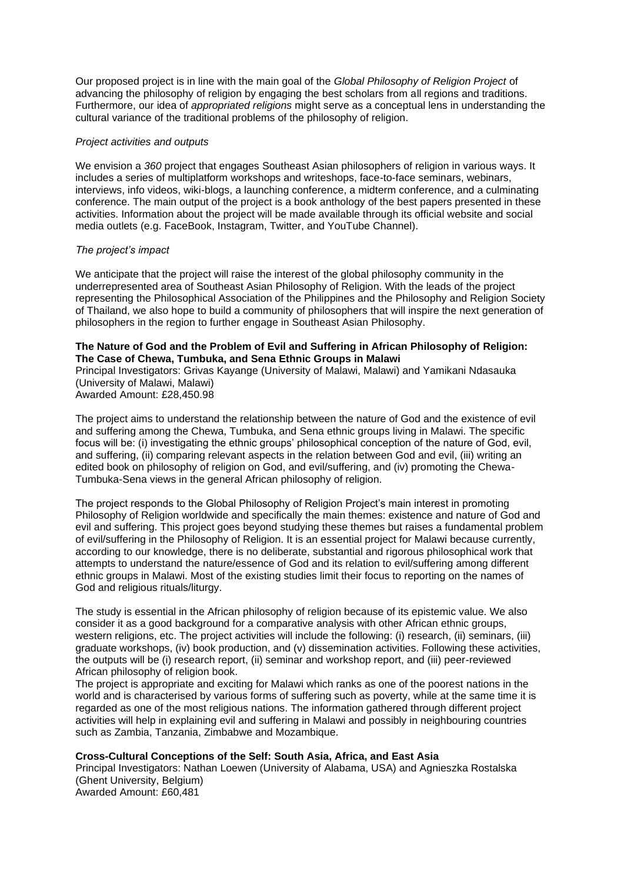Our proposed project is in line with the main goal of the *Global Philosophy of Religion Project* of advancing the philosophy of religion by engaging the best scholars from all regions and traditions. Furthermore, our idea of *appropriated religions* might serve as a conceptual lens in understanding the cultural variance of the traditional problems of the philosophy of religion.

## *Project activities and outputs*

We envision a *360* project that engages Southeast Asian philosophers of religion in various ways. It includes a series of multiplatform workshops and writeshops, face-to-face seminars, webinars, interviews, info videos, wiki-blogs, a launching conference, a midterm conference, and a culminating conference. The main output of the project is a book anthology of the best papers presented in these activities. Information about the project will be made available through its official website and social media outlets (e.g. FaceBook, Instagram, Twitter, and YouTube Channel).

## *The project's impact*

We anticipate that the project will raise the interest of the global philosophy community in the underrepresented area of Southeast Asian Philosophy of Religion. With the leads of the project representing the Philosophical Association of the Philippines and the Philosophy and Religion Society of Thailand, we also hope to build a community of philosophers that will inspire the next generation of philosophers in the region to further engage in Southeast Asian Philosophy.

## **The Nature of God and the Problem of Evil and Suffering in African Philosophy of Religion: The Case of Chewa, Tumbuka, and Sena Ethnic Groups in Malawi**

Principal Investigators: Grivas Kayange (University of Malawi, Malawi) and Yamikani Ndasauka (University of Malawi, Malawi)

Awarded Amount: £28,450.98

The project aims to understand the relationship between the nature of God and the existence of evil and suffering among the Chewa, Tumbuka, and Sena ethnic groups living in Malawi. The specific focus will be: (i) investigating the ethnic groups' philosophical conception of the nature of God, evil, and suffering, (ii) comparing relevant aspects in the relation between God and evil, (iii) writing an edited book on philosophy of religion on God, and evil/suffering, and (iv) promoting the Chewa-Tumbuka-Sena views in the general African philosophy of religion.

The project responds to the Global Philosophy of Religion Project's main interest in promoting Philosophy of Religion worldwide and specifically the main themes: existence and nature of God and evil and suffering. This project goes beyond studying these themes but raises a fundamental problem of evil/suffering in the Philosophy of Religion. It is an essential project for Malawi because currently, according to our knowledge, there is no deliberate, substantial and rigorous philosophical work that attempts to understand the nature/essence of God and its relation to evil/suffering among different ethnic groups in Malawi. Most of the existing studies limit their focus to reporting on the names of God and religious rituals/liturgy.

The study is essential in the African philosophy of religion because of its epistemic value. We also consider it as a good background for a comparative analysis with other African ethnic groups, western religions, etc. The project activities will include the following: (i) research, (ii) seminars, (iii) graduate workshops, (iv) book production, and (v) dissemination activities. Following these activities, the outputs will be (i) research report, (ii) seminar and workshop report, and (iii) peer-reviewed African philosophy of religion book.

The project is appropriate and exciting for Malawi which ranks as one of the poorest nations in the world and is characterised by various forms of suffering such as poverty, while at the same time it is regarded as one of the most religious nations. The information gathered through different project activities will help in explaining evil and suffering in Malawi and possibly in neighbouring countries such as Zambia, Tanzania, Zimbabwe and Mozambique.

## **Cross-Cultural Conceptions of the Self: South Asia, Africa, and East Asia**

Principal Investigators: Nathan Loewen (University of Alabama, USA) and Agnieszka Rostalska (Ghent University, Belgium) Awarded Amount: £60,481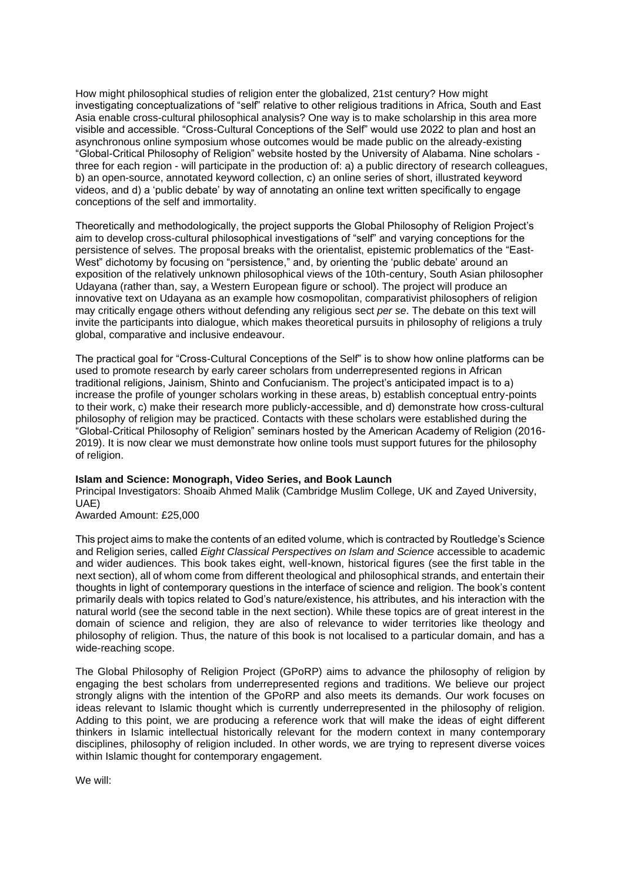How might philosophical studies of religion enter the globalized, 21st century? How might investigating conceptualizations of "self" relative to other religious traditions in Africa, South and East Asia enable cross-cultural philosophical analysis? One way is to make scholarship in this area more visible and accessible. "Cross-Cultural Conceptions of the Self" would use 2022 to plan and host an asynchronous online symposium whose outcomes would be made public on the already-existing "Global-Critical Philosophy of Religion" website hosted by the University of Alabama. Nine scholars three for each region - will participate in the production of: a) a public directory of research colleagues, b) an open-source, annotated keyword collection, c) an online series of short, illustrated keyword videos, and d) a 'public debate' by way of annotating an online text written specifically to engage conceptions of the self and immortality.

Theoretically and methodologically, the project supports the Global Philosophy of Religion Project's aim to develop cross-cultural philosophical investigations of "self" and varying conceptions for the persistence of selves. The proposal breaks with the orientalist, epistemic problematics of the "East-West" dichotomy by focusing on "persistence," and, by orienting the 'public debate' around an exposition of the relatively unknown philosophical views of the 10th-century, South Asian philosopher Udayana (rather than, say, a Western European figure or school). The project will produce an innovative text on Udayana as an example how cosmopolitan, comparativist philosophers of religion may critically engage others without defending any religious sect *per se*. The debate on this text will invite the participants into dialogue, which makes theoretical pursuits in philosophy of religions a truly global, comparative and inclusive endeavour.

The practical goal for "Cross-Cultural Conceptions of the Self" is to show how online platforms can be used to promote research by early career scholars from underrepresented regions in African traditional religions, Jainism, Shinto and Confucianism. The project's anticipated impact is to a) increase the profile of younger scholars working in these areas, b) establish conceptual entry-points to their work, c) make their research more publicly-accessible, and d) demonstrate how cross-cultural philosophy of religion may be practiced. Contacts with these scholars were established during the "Global-Critical Philosophy of Religion" seminars hosted by the American Academy of Religion (2016- 2019). It is now clear we must demonstrate how online tools must support futures for the philosophy of religion.

#### **Islam and Science: Monograph, Video Series, and Book Launch**

Principal Investigators: Shoaib Ahmed Malik (Cambridge Muslim College, UK and Zayed University, UAE)

Awarded Amount: £25,000

This project aims to make the contents of an edited volume, which is contracted by Routledge's Science and Religion series, called *Eight Classical Perspectives on Islam and Science* accessible to academic and wider audiences. This book takes eight, well-known, historical figures (see the first table in the next section), all of whom come from different theological and philosophical strands, and entertain their thoughts in light of contemporary questions in the interface of science and religion. The book's content primarily deals with topics related to God's nature/existence, his attributes, and his interaction with the natural world (see the second table in the next section). While these topics are of great interest in the domain of science and religion, they are also of relevance to wider territories like theology and philosophy of religion. Thus, the nature of this book is not localised to a particular domain, and has a wide-reaching scope.

The Global Philosophy of Religion Project (GPoRP) aims to advance the philosophy of religion by engaging the best scholars from underrepresented regions and traditions. We believe our project strongly aligns with the intention of the GPoRP and also meets its demands. Our work focuses on ideas relevant to Islamic thought which is currently underrepresented in the philosophy of religion. Adding to this point, we are producing a reference work that will make the ideas of eight different thinkers in Islamic intellectual historically relevant for the modern context in many contemporary disciplines, philosophy of religion included. In other words, we are trying to represent diverse voices within Islamic thought for contemporary engagement.

We will: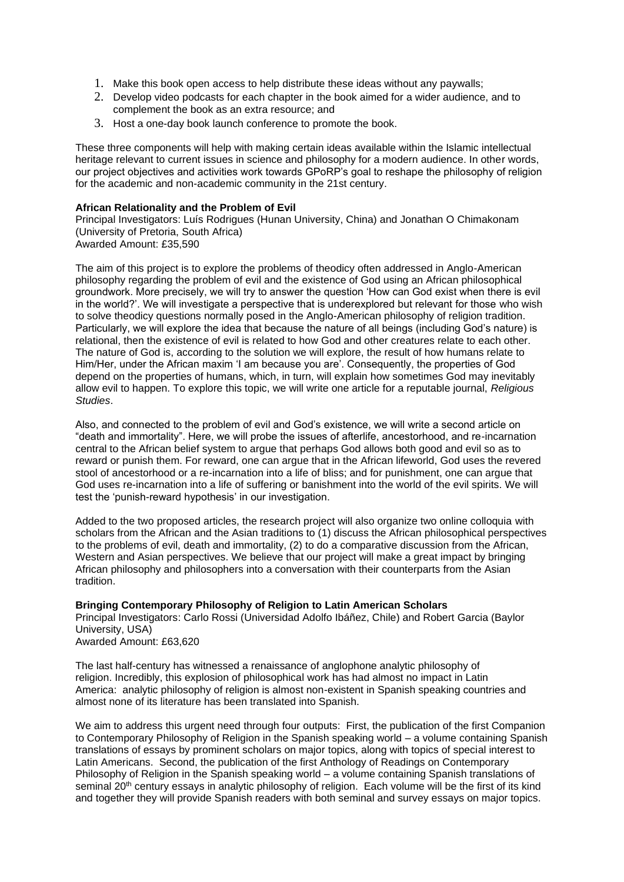- 1. Make this book open access to help distribute these ideas without any paywalls;
- 2. Develop video podcasts for each chapter in the book aimed for a wider audience, and to complement the book as an extra resource; and
- 3. Host a one-day book launch conference to promote the book.

These three components will help with making certain ideas available within the Islamic intellectual heritage relevant to current issues in science and philosophy for a modern audience. In other words, our project objectives and activities work towards GPoRP's goal to reshape the philosophy of religion for the academic and non-academic community in the 21st century.

## **African Relationality and the Problem of Evil**

Principal Investigators: Luís Rodrigues (Hunan University, China) and Jonathan O Chimakonam (University of Pretoria, South Africa) Awarded Amount: £35,590

The aim of this project is to explore the problems of theodicy often addressed in Anglo-American philosophy regarding the problem of evil and the existence of God using an African philosophical groundwork. More precisely, we will try to answer the question 'How can God exist when there is evil in the world?'. We will investigate a perspective that is underexplored but relevant for those who wish to solve theodicy questions normally posed in the Anglo-American philosophy of religion tradition. Particularly, we will explore the idea that because the nature of all beings (including God's nature) is relational, then the existence of evil is related to how God and other creatures relate to each other. The nature of God is, according to the solution we will explore, the result of how humans relate to Him/Her, under the African maxim 'I am because you are'. Consequently, the properties of God depend on the properties of humans, which, in turn, will explain how sometimes God may inevitably allow evil to happen. To explore this topic, we will write one article for a reputable journal, *Religious Studies*.

Also, and connected to the problem of evil and God's existence, we will write a second article on "death and immortality". Here, we will probe the issues of afterlife, ancestorhood, and re-incarnation central to the African belief system to argue that perhaps God allows both good and evil so as to reward or punish them. For reward, one can argue that in the African lifeworld, God uses the revered stool of ancestorhood or a re-incarnation into a life of bliss; and for punishment, one can argue that God uses re-incarnation into a life of suffering or banishment into the world of the evil spirits. We will test the 'punish-reward hypothesis' in our investigation.

Added to the two proposed articles, the research project will also organize two online colloquia with scholars from the African and the Asian traditions to (1) discuss the African philosophical perspectives to the problems of evil, death and immortality, (2) to do a comparative discussion from the African, Western and Asian perspectives. We believe that our project will make a great impact by bringing African philosophy and philosophers into a conversation with their counterparts from the Asian tradition.

## **Bringing Contemporary Philosophy of Religion to Latin American Scholars**

Principal Investigators: Carlo Rossi (Universidad Adolfo Ibáñez, Chile) and Robert Garcia (Baylor University, USA) Awarded Amount: £63,620

The last half-century has witnessed a renaissance of anglophone analytic philosophy of religion. Incredibly, this explosion of philosophical work has had almost no impact in Latin America: analytic philosophy of religion is almost non-existent in Spanish speaking countries and almost none of its literature has been translated into Spanish.

We aim to address this urgent need through four outputs: First, the publication of the first Companion to Contemporary Philosophy of Religion in the Spanish speaking world – a volume containing Spanish translations of essays by prominent scholars on major topics, along with topics of special interest to Latin Americans. Second, the publication of the first Anthology of Readings on Contemporary Philosophy of Religion in the Spanish speaking world – a volume containing Spanish translations of seminal 20<sup>th</sup> century essays in analytic philosophy of religion. Each volume will be the first of its kind and together they will provide Spanish readers with both seminal and survey essays on major topics.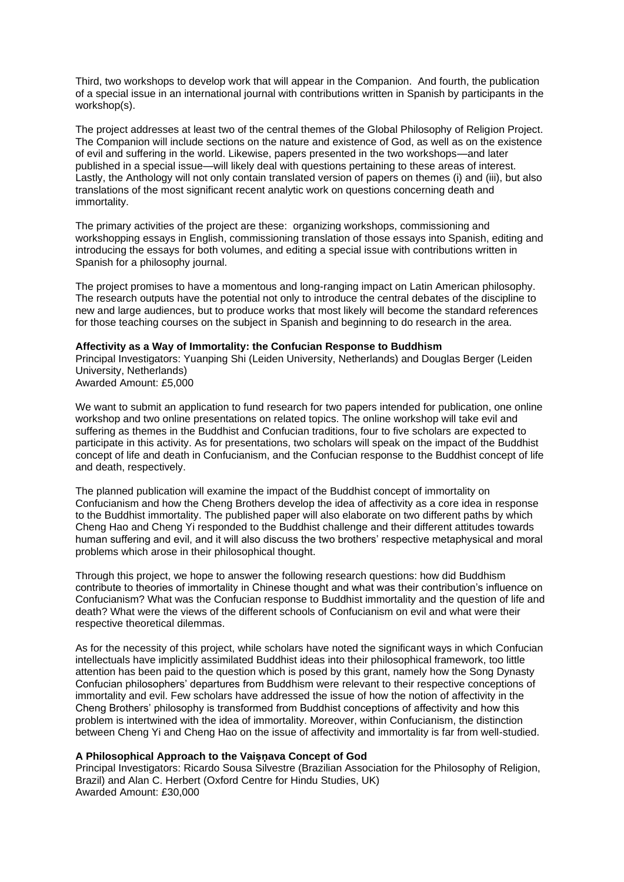Third, two workshops to develop work that will appear in the Companion. And fourth, the publication of a special issue in an international journal with contributions written in Spanish by participants in the workshop(s).

The project addresses at least two of the central themes of the Global Philosophy of Religion Project. The Companion will include sections on the nature and existence of God, as well as on the existence of evil and suffering in the world. Likewise, papers presented in the two workshops—and later published in a special issue—will likely deal with questions pertaining to these areas of interest. Lastly, the Anthology will not only contain translated version of papers on themes (i) and (iii), but also translations of the most significant recent analytic work on questions concerning death and immortality.

The primary activities of the project are these: organizing workshops, commissioning and workshopping essays in English, commissioning translation of those essays into Spanish, editing and introducing the essays for both volumes, and editing a special issue with contributions written in Spanish for a philosophy journal.

The project promises to have a momentous and long-ranging impact on Latin American philosophy. The research outputs have the potential not only to introduce the central debates of the discipline to new and large audiences, but to produce works that most likely will become the standard references for those teaching courses on the subject in Spanish and beginning to do research in the area.

#### **Affectivity as a Way of Immortality: the Confucian Response to Buddhism**

Principal Investigators: Yuanping Shi (Leiden University, Netherlands) and Douglas Berger (Leiden University, Netherlands) Awarded Amount: £5,000

We want to submit an application to fund research for two papers intended for publication, one online workshop and two online presentations on related topics. The online workshop will take evil and suffering as themes in the Buddhist and Confucian traditions, four to five scholars are expected to participate in this activity. As for presentations, two scholars will speak on the impact of the Buddhist concept of life and death in Confucianism, and the Confucian response to the Buddhist concept of life and death, respectively.

The planned publication will examine the impact of the Buddhist concept of immortality on Confucianism and how the Cheng Brothers develop the idea of affectivity as a core idea in response to the Buddhist immortality. The published paper will also elaborate on two different paths by which Cheng Hao and Cheng Yi responded to the Buddhist challenge and their different attitudes towards human suffering and evil, and it will also discuss the two brothers' respective metaphysical and moral problems which arose in their philosophical thought.

Through this project, we hope to answer the following research questions: how did Buddhism contribute to theories of immortality in Chinese thought and what was their contribution's influence on Confucianism? What was the Confucian response to Buddhist immortality and the question of life and death? What were the views of the different schools of Confucianism on evil and what were their respective theoretical dilemmas.

As for the necessity of this project, while scholars have noted the significant ways in which Confucian intellectuals have implicitly assimilated Buddhist ideas into their philosophical framework, too little attention has been paid to the question which is posed by this grant, namely how the Song Dynasty Confucian philosophers' departures from Buddhism were relevant to their respective conceptions of immortality and evil. Few scholars have addressed the issue of how the notion of affectivity in the Cheng Brothers' philosophy is transformed from Buddhist conceptions of affectivity and how this problem is intertwined with the idea of immortality. Moreover, within Confucianism, the distinction between Cheng Yi and Cheng Hao on the issue of affectivity and immortality is far from well-studied.

## **A Philosophical Approach to the Vaiṣṇava Concept of God**

Principal Investigators: Ricardo Sousa Silvestre (Brazilian Association for the Philosophy of Religion, Brazil) and Alan C. Herbert (Oxford Centre for Hindu Studies, UK) Awarded Amount: £30,000